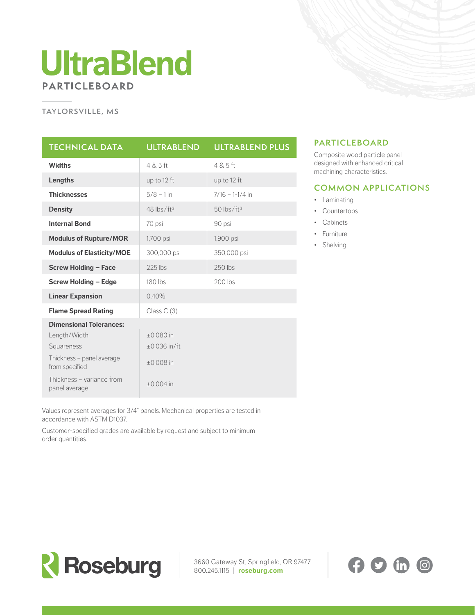## **UltraBlend PARTICLEBOARD**

#### **TAYLORSVILLE, MS**

| <b>TECHNICAL DATA</b>                       | <b>ULTRABLEND</b>        | <b>ULTRABLEND PLUS</b>   |
|---------------------------------------------|--------------------------|--------------------------|
| <b>Widths</b>                               | 4 & 5 ft                 | 4 & 5 ft                 |
| Lengths                                     | up to 12 ft              | up to 12 ft              |
| <b>Thicknesses</b>                          | $5/8 - 1$ in             | $7/16 - 1-1/4$ in        |
| <b>Density</b>                              | $48$ lbs/ft <sup>3</sup> | $50$ lbs/ft <sup>3</sup> |
| <b>Internal Bond</b>                        | 70 psi                   | 90 psi                   |
| <b>Modulus of Rupture/MOR</b>               | 1,700 psi                | 1,900 psi                |
| <b>Modulus of Elasticity/MOE</b>            | 300,000 psi              | 350,000 psi              |
| <b>Screw Holding - Face</b>                 | $225$ lbs                | $250$ lbs                |
| <b>Screw Holding - Edge</b>                 | 180 lbs                  | $200$ lbs                |
| <b>Linear Expansion</b>                     | 0.40%                    |                          |
| <b>Flame Spread Rating</b>                  | Class $C(3)$             |                          |
| <b>Dimensional Tolerances:</b>              |                          |                          |
| Length/Width                                | $+0.080$ in              |                          |
| Squareness                                  | $+0.036$ in/ft           |                          |
| Thickness - panel average<br>from specified | $\pm 0.008$ in           |                          |
| Thickness - variance from<br>panel average  | $+0.004$ in              |                          |

### **PARTICLEBOARD**

Composite wood particle panel designed with enhanced critical machining characteristics.

#### **COMMON APPLICATIONS**

- Laminating
- Countertops
- Cabinets
- Furniture
- Shelving

Values represent averages for 3/4" panels. Mechanical properties are tested in accordance with ASTM D1037.

Customer-specified grades are available by request and subject to minimum order quantities.



3660 Gateway St, Springfield, OR 97477 800.245.1115 | **roseburg.com**